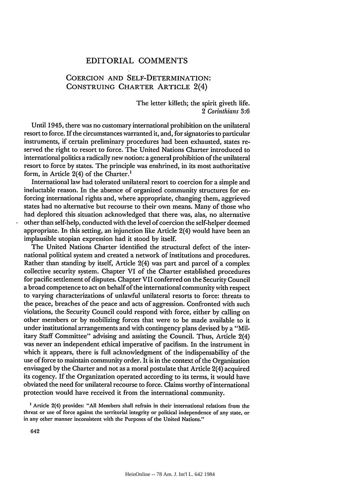## EDITORIAL COMMENTS

## COERCION AND SELF-DETERMINATION: CONSTRUING CHARTER ARTICLE 2(4)

The letter killeth; the spirit giveth life. *2 Corinthians 3:6*

Until 1945, there was no customary international prohibition on the unilateral resort to force. If the circumstances warranted it, and, for signatories to particular instruments, if certain preliminary procedures had been exhausted, states reserved the right to resort to force. The United Nations Charter introduced to international politics a radically new notion: a general prohibition of the unilateral resort to force by states. The principle was enshrined, in its most authoritative form, in Article 2(4) of the Charter.<sup>1</sup>

International law had tolerated unilateral resort to coercion for a simple and ineluctable reason. In the absence of organized community structures for enforcing international rights and, where appropriate, changing them, aggrieved states had no alternative but recourse to their own means. Many of those who had deplored this situation acknowledged that there was, alas, no alternative other than self-help, conducted with the level of coercion the self-helper deemed appropriate. In this setting, an injunction like Article 2(4) would have been an implausible utopian expression had it stood by itself.

The United Nations Charter identified the structural defect of the international political system and created a network of institutions and procedures. Rather than standing by itself, Article 2(4) was part and parcel of a complex collective security system. Chapter VI of the Charter established procedures for pacific settlement of disputes. Chapter VII conferred on the Security Council a broad competence to act on behalf of the international community with respect to varying characterizations of unlawful unilateral resorts to force: threats to the peace, breaches of the peace and acts of aggression. Confronted with such violations, the Security Council could respond with force, either by calling on other members or by mobilizing forces that were to be made available to it under institutional arrangements and with contingency plans devised by a "Military Staff Committee" advising and assisting the Council. Thus, Article 2(4) was never an independent ethical imperative of pacifism. In the instrument in which it appears, there is full acknowledgment of the indispensability of the use of force to maintain community order. It is in the context of the Organization envisaged by the Charter and not as a moral postulate that Article 2(4) acquired its cogency. If the Organization operated according to its terms, it would have obviated the need for unilateral recourse to force. Claims worthy of international protection would have received it from the international community.

**'** Article 2(4) provides: "All Members shall refrain in their international relations from the threat or use of force against the territorial integrity or political independence of any state, or in any other manner inconsistent with the Purposes of the United Nations."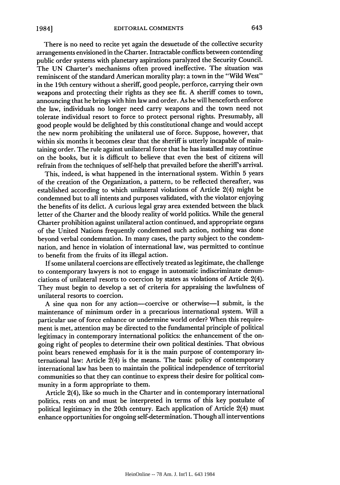There is no need to recite yet again the desuetude of the collective security arrangements envisioned in the Charter. Intractable conflicts between contending public order systems with planetary aspirations paralyzed the Security Council. The UN Charter's mechanisms often proved ineffective. The situation was reminiscent of the standard American morality play: a town in the "Wild West" in the 19th century without a sheriff, good people, perforce, carrying their own weapons and protecting their rights as they see fit. A sheriff comes to town, announcing that he brings with him law and order. As he will henceforth enforce the law, individuals no longer need carry weapons and the town need not tolerate individual resort to force to protect personal rights. Presumably, all good people would be delighted by this constitutional change and would accept the new norm prohibiting the unilateral use of force. Suppose, however, that within six months it becomes clear that the sheriff is utterly incapable of maintaining order. The rule against unilateral force that he has installed may continue on the books, but it is difficult to believe that even the best of citizens will refrain from the techniques of self-help that prevailed before the sheriff's arrival.

This, indeed, is what happened in the international system. Within 5 years of the creation of the Organization, a pattern, to be reflected thereafter, was established according to which unilateral violations of Article 2(4) might be condemned but to all intents and purposes validated, with the violator enjoying the benefits of its delict. A curious legal gray area extended between the black letter of the Charter and the bloody reality of world politics. While the general Charter prohibition against unilateral action continued, and appropriate organs of the United Nations frequently condemned such action, nothing was done beyond verbal condemnation. In many cases, the party subject to the condemnation, and hence in violation of international law, was permitted to continue to benefit from the fruits of its illegal action.

If some unilateral coercions are effectively treated as legitimate, the challenge to contemporary lawyers is not to engage in automatic indiscriminate denunciations of unilateral resorts to coercion by states as violations of Article 2(4). They must begin to develop a set of criteria for appraising the lawfulness of unilateral resorts to coercion.

A sine qua non for any action-coercive or otherwise-I submit, is the maintenance of minimum order in a precarious international system. Will a particular use of force enhance or undermine world order? When this requirement is met, attention may be directed to the fundamental principle of political legitimacy in contemporary international politics: the enhancement of the ongoing right of peoples to determine their own political destinies. That obvious point bears renewed emphasis for it is the main purpose of contemporary international law: Article 2(4) is the means. The basic policy of contemporary international law has been to maintain the political independence of territorial communities so that they can continue to express their desire for political community in a form appropriate to them.

Article 2(4), like so much in the Charter and in contemporary international politics, rests on and must be interpreted in terms of this key postulate of political legitimacy in the 20th century. Each application of Article 2(4) must enhance opportunities for ongoing self-determination. Though all interventions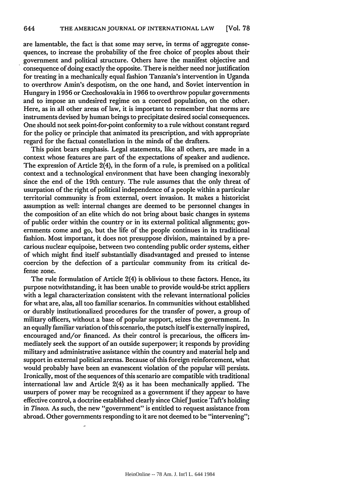are lamentable, the fact is that some may serve, in terms of aggregate consequences, to increase the probability of the free choice of peoples about their government and political structure. Others have the manifest objective and consequence of doing exactly the opposite. There is neither need nor justification for treating in a mechanically equal fashion Tanzania's intervention in Uganda to overthrow Amin's despotism, on the one hand, and Soviet intervention in Hungary in 1956 or Czechoslovakia in 1966 to overthrow popular governments and to impose an undesired regime on a coerced population, on the other. Here, as in all other areas of law, it is important to remember that norms are instruments devised by human beings to precipitate desired social consequences. One should not seek point-for-point conformity to a rule without constant regard for the policy or principle that animated its prescription, and with appropriate regard for the factual constellation in the minds of the drafters.

This point bears emphasis. Legal statements, like all others, are made in a context whose features are part of the expectations of speaker and audience. The expression of Article 2(4), in the form of a rule, is premised on a political context and a technological environment that have been changing inexorably since the end of the 19th century. The rule assumes that the only threat of usurpation of the right of political independence of a people within a particular territorial community is from external, overt invasion. It makes a historicist assumption as well: internal changes are deemed to be personnel changes in the composition of an elite which do not bring about basic changes in systems of public order within the country or in its external political alignments; governments come and go, but the life of the people continues in its traditional fashion. Most important, it does not presuppose division, maintained by a precarious nuclear equipoise, between two contending public order systems, either of which might find itself substantially disadvantaged and pressed to intense coercion by the defection of a particular community from its critical defense zone.

The rule formulation of Article 2(4) is oblivious to these factors. Hence, its purpose notwithstanding, it has been unable to provide would-be strict appliers with a legal characterization consistent with the relevant international policies for what are, alas, all too familiar scenarios. In communities without established or durably institutionalized procedures for the transfer of power, a group of military officers, without a base of popular support, seizes the government. In an equally familiar variation of this scenario, the putsch itself is externally inspired, encouraged and/or financed. As their control is precarious, the officers immediately seek the support of an outside superpower; it responds by providing military and administrative assistance within the country and material help and support in external political arenas. Because of this foreign reinforcement, what would probably have been an evanescent violation of the popular will persists. Ironically, most of the sequences of this scenario are compatible with traditional international law and Article 2(4) as it has been mechanically applied. The usurpers of power may be recognized as a government if they appear to have effective control, a doctrine established clearly since Chief Justice Taft's holding in *Tinoco.* As such, the new "government" is entitled to request assistance from abroad. Other governments responding to it are not deemed to be "intervening";